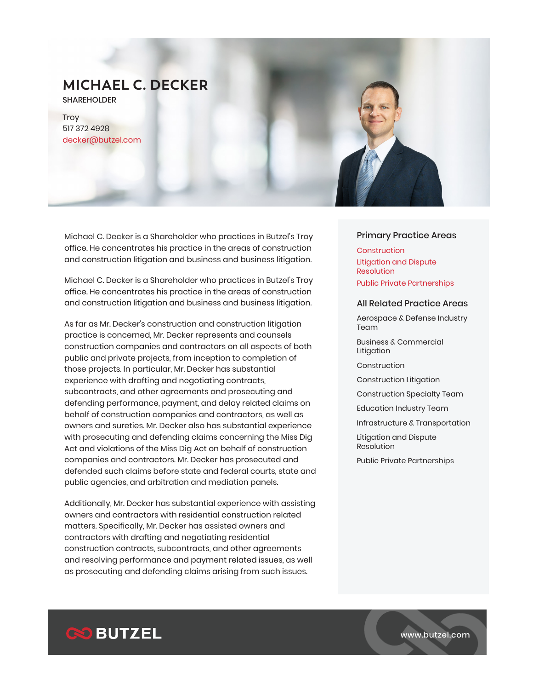# **MICHAEL C. DECKER**

SHAREHOLDER

**Troy** 517 372 4928 decker@butzel.com

Michael C. Decker is a Shareholder who practices in Butzel's Troy office. He concentrates his practice in the areas of construction and construction litigation and business and business litigation.

Michael C. Decker is a Shareholder who practices in Butzel's Troy office. He concentrates his practice in the areas of construction and construction litigation and business and business litigation.

As far as Mr. Decker's construction and construction litigation practice is concerned, Mr. Decker represents and counsels construction companies and contractors on all aspects of both public and private projects, from inception to completion of those projects. In particular, Mr. Decker has substantial experience with drafting and negotiating contracts, subcontracts, and other agreements and prosecuting and defending performance, payment, and delay related claims on behalf of construction companies and contractors, as well as owners and sureties. Mr. Decker also has substantial experience with prosecuting and defending claims concerning the Miss Dig Act and violations of the Miss Dig Act on behalf of construction companies and contractors. Mr. Decker has prosecuted and defended such claims before state and federal courts, state and public agencies, and arbitration and mediation panels.

Additionally, Mr. Decker has substantial experience with assisting owners and contractors with residential construction related matters. Specifically, Mr. Decker has assisted owners and contractors with drafting and negotiating residential construction contracts, subcontracts, and other agreements and resolving performance and payment related issues, as well as prosecuting and defending claims arising from such issues.

## Primary Practice Areas

**Construction** Litigation and Dispute Resolution Public Private Partnerships

#### All Related Practice Areas

Aerospace & Defense Industry Team<sup>1</sup>

Business & Commercial Litigation

Construction

Construction Litigation

Construction Specialty Team

Education Industry Team

Infrastructure & Transportation

Litigation and Dispute Resolution

Public Private Partnerships

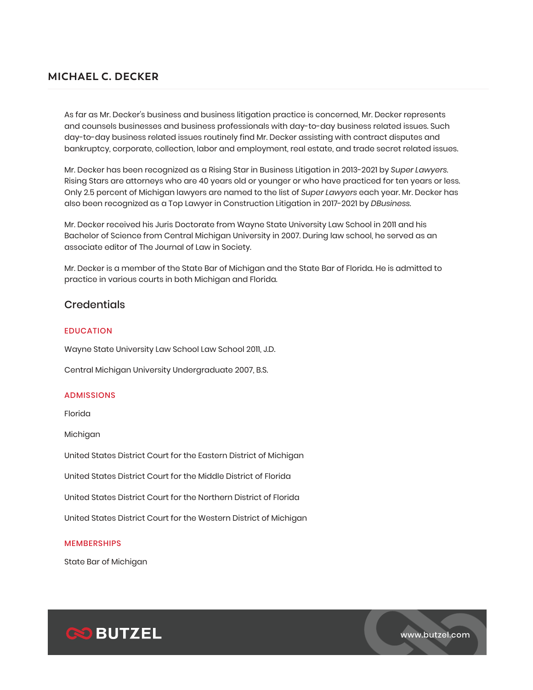## **MICHAEL C. DECKER**

As far as Mr. Decker's business and business litigation practice is concerned, Mr. Decker represents and counsels businesses and business professionals with day-to-day business related issues. Such day-to-day business related issues routinely find Mr. Decker assisting with contract disputes and bankruptcy, corporate, collection, labor and employment, real estate, and trade secret related issues.

Mr. Decker has been recognized as a Rising Star in Business Litigation in 2013-2021 by *Super Lawyers*. Rising Stars are attorneys who are 40 years old or younger or who have practiced for ten years or less. Only 2.5 percent of Michigan lawyers are named to the list of *Super Lawyers* each year. Mr. Decker has also been recognized as a Top Lawyer in Construction Litigation in 2017-2021 by *DBusiness*.

Mr. Decker received his Juris Doctorate from Wayne State University Law School in 2011 and his Bachelor of Science from Central Michigan University in 2007. During law school, he served as an associate editor of The Journal of Law in Society.

Mr. Decker is a member of the State Bar of Michigan and the State Bar of Florida. He is admitted to practice in various courts in both Michigan and Florida.

## **Credentials**

## EDUCATION

Wayne State University Law School Law School 2011, J.D.

Central Michigan University Undergraduate 2007, B.S.

### ADMISSIONS

Florida

Michigan

United States District Court for the Eastern District of Michigan

United States District Court for the Middle District of Florida

United States District Court for the Northern District of Florida

United States District Court for the Western District of Michigan

## MEMBERSHIPS

State Bar of Michigan